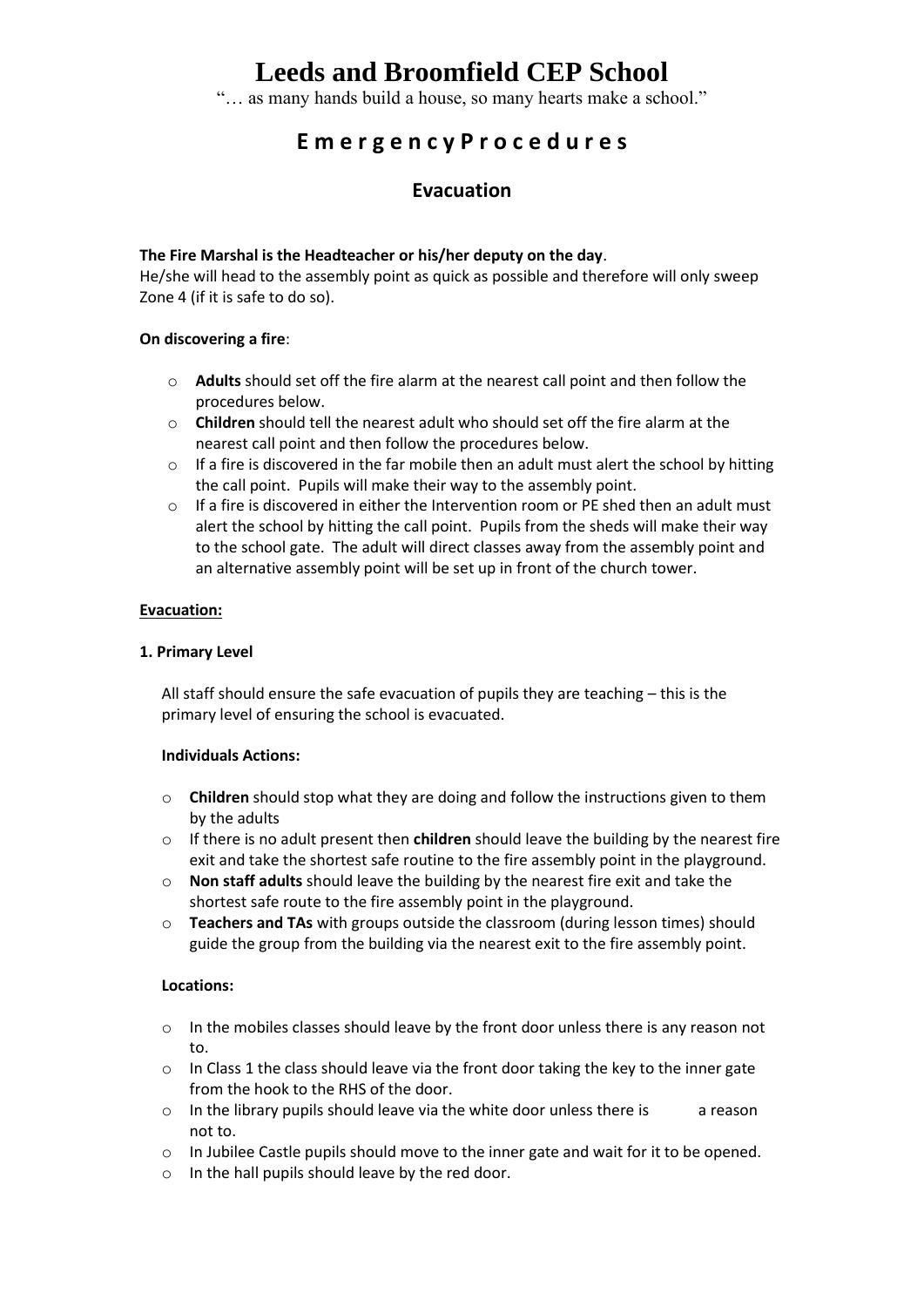### **Leeds and Broomfield CEP School**

"… as many hands build a house, so many hearts make a school."

### **E m e r g e n c y P r o c e d u r e s**

### **Evacuation**

#### **The Fire Marshal is the Headteacher or his/her deputy on the day**.

He/she will head to the assembly point as quick as possible and therefore will only sweep Zone 4 (if it is safe to do so).

#### **On discovering a fire**:

- o **Adults** should set off the fire alarm at the nearest call point and then follow the procedures below.
- o **Children** should tell the nearest adult who should set off the fire alarm at the nearest call point and then follow the procedures below.
- $\circ$  If a fire is discovered in the far mobile then an adult must alert the school by hitting the call point. Pupils will make their way to the assembly point.
- $\circ$  If a fire is discovered in either the Intervention room or PE shed then an adult must alert the school by hitting the call point. Pupils from the sheds will make their way to the school gate. The adult will direct classes away from the assembly point and an alternative assembly point will be set up in front of the church tower.

#### **Evacuation:**

#### **1. Primary Level**

All staff should ensure the safe evacuation of pupils they are teaching – this is the primary level of ensuring the school is evacuated.

#### **Individuals Actions:**

- o **Children** should stop what they are doing and follow the instructions given to them by the adults
- o If there is no adult present then **children** should leave the building by the nearest fire exit and take the shortest safe routine to the fire assembly point in the playground.
- o **Non staff adults** should leave the building by the nearest fire exit and take the shortest safe route to the fire assembly point in the playground.
- o **Teachers and TAs** with groups outside the classroom (during lesson times) should guide the group from the building via the nearest exit to the fire assembly point.

#### **Locations:**

- o In the mobiles classes should leave by the front door unless there is any reason not to.
- $\circ$  In Class 1 the class should leave via the front door taking the key to the inner gate from the hook to the RHS of the door.
- $\circ$  In the library pupils should leave via the white door unless there is  $\qquad$  a reason not to.
- o In Jubilee Castle pupils should move to the inner gate and wait for it to be opened.
- o In the hall pupils should leave by the red door.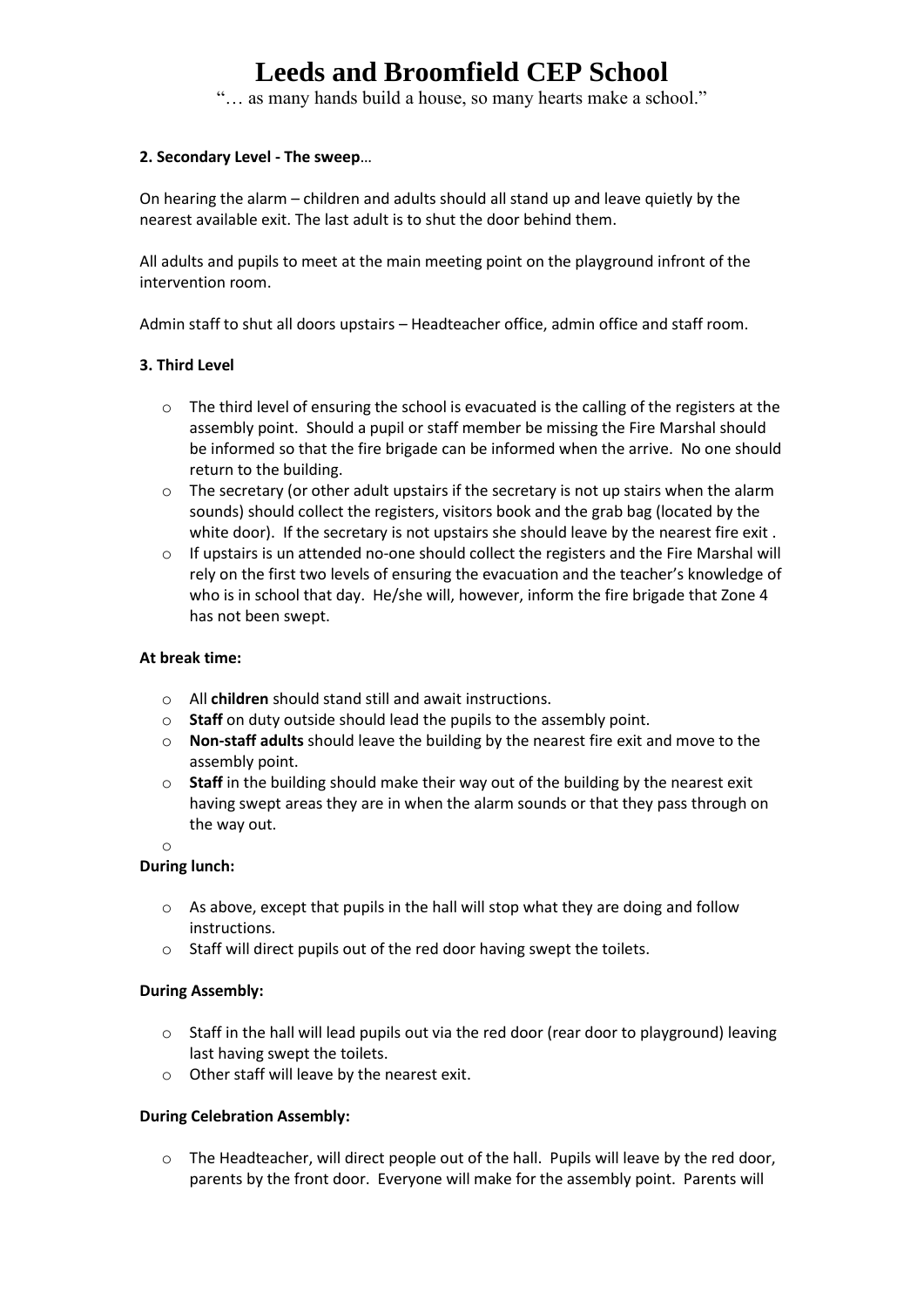# **Leeds and Broomfield CEP School**

"… as many hands build a house, so many hearts make a school."

#### **2. Secondary Level - The sweep**…

On hearing the alarm – children and adults should all stand up and leave quietly by the nearest available exit. The last adult is to shut the door behind them.

All adults and pupils to meet at the main meeting point on the playground infront of the intervention room.

Admin staff to shut all doors upstairs – Headteacher office, admin office and staff room.

#### **3. Third Level**

- $\circ$  The third level of ensuring the school is evacuated is the calling of the registers at the assembly point. Should a pupil or staff member be missing the Fire Marshal should be informed so that the fire brigade can be informed when the arrive. No one should return to the building.
- $\circ$  The secretary (or other adult upstairs if the secretary is not up stairs when the alarm sounds) should collect the registers, visitors book and the grab bag (located by the white door). If the secretary is not upstairs she should leave by the nearest fire exit .
- $\circ$  If upstairs is un attended no-one should collect the registers and the Fire Marshal will rely on the first two levels of ensuring the evacuation and the teacher's knowledge of who is in school that day. He/she will, however, inform the fire brigade that Zone 4 has not been swept.

#### **At break time:**

- o All **children** should stand still and await instructions.
- o **Staff** on duty outside should lead the pupils to the assembly point.
- o **Non-staff adults** should leave the building by the nearest fire exit and move to the assembly point.
- o **Staff** in the building should make their way out of the building by the nearest exit having swept areas they are in when the alarm sounds or that they pass through on the way out.

o

#### **During lunch:**

- o As above, except that pupils in the hall will stop what they are doing and follow instructions.
- o Staff will direct pupils out of the red door having swept the toilets.

#### **During Assembly:**

- $\circ$  Staff in the hall will lead pupils out via the red door (rear door to playground) leaving last having swept the toilets.
- o Other staff will leave by the nearest exit.

#### **During Celebration Assembly:**

o The Headteacher, will direct people out of the hall. Pupils will leave by the red door, parents by the front door. Everyone will make for the assembly point. Parents will